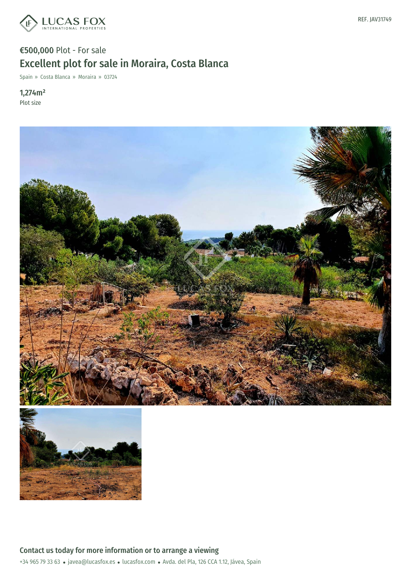

## €500,000 Plot - For sale Excellent plot for sale in Moraira, Costa Blanca

Spain » Costa Blanca » Moraira » 03724

1,274m² Plot size